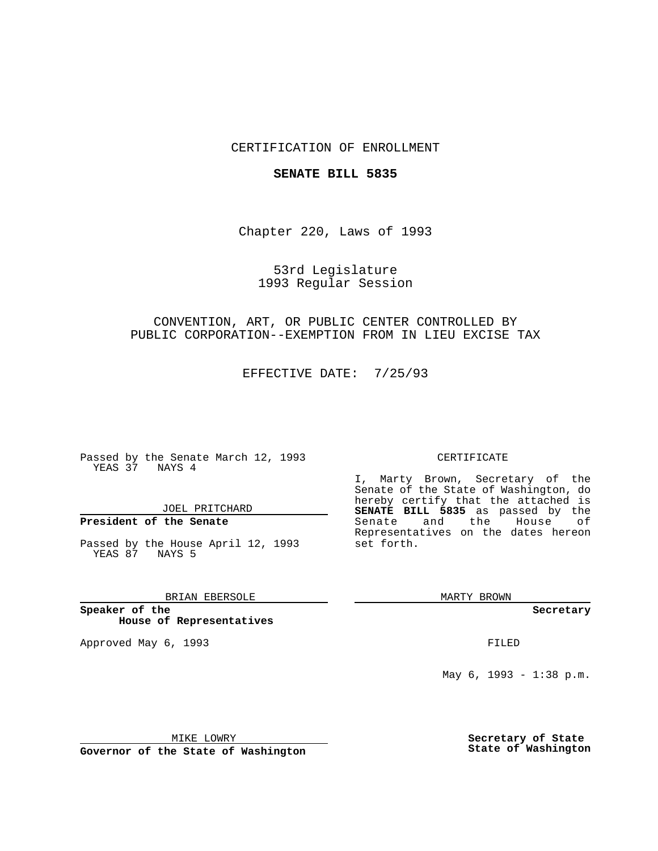## CERTIFICATION OF ENROLLMENT

### **SENATE BILL 5835**

Chapter 220, Laws of 1993

## 53rd Legislature 1993 Regular Session

## CONVENTION, ART, OR PUBLIC CENTER CONTROLLED BY PUBLIC CORPORATION--EXEMPTION FROM IN LIEU EXCISE TAX

EFFECTIVE DATE: 7/25/93

Passed by the Senate March 12, 1993 YEAS 37 NAYS 4

JOEL PRITCHARD

# **President of the Senate**

Passed by the House April 12, 1993 YEAS 87 NAYS 5

## BRIAN EBERSOLE

**Speaker of the House of Representatives**

Approved May 6, 1993 **FILED** 

#### CERTIFICATE

I, Marty Brown, Secretary of the Senate of the State of Washington, do hereby certify that the attached is **SENATE BILL 5835** as passed by the Senate and the House of Representatives on the dates hereon set forth.

MARTY BROWN

**Secretary**

May 6, 1993 - 1:38 p.m.

MIKE LOWRY

**Governor of the State of Washington**

**Secretary of State State of Washington**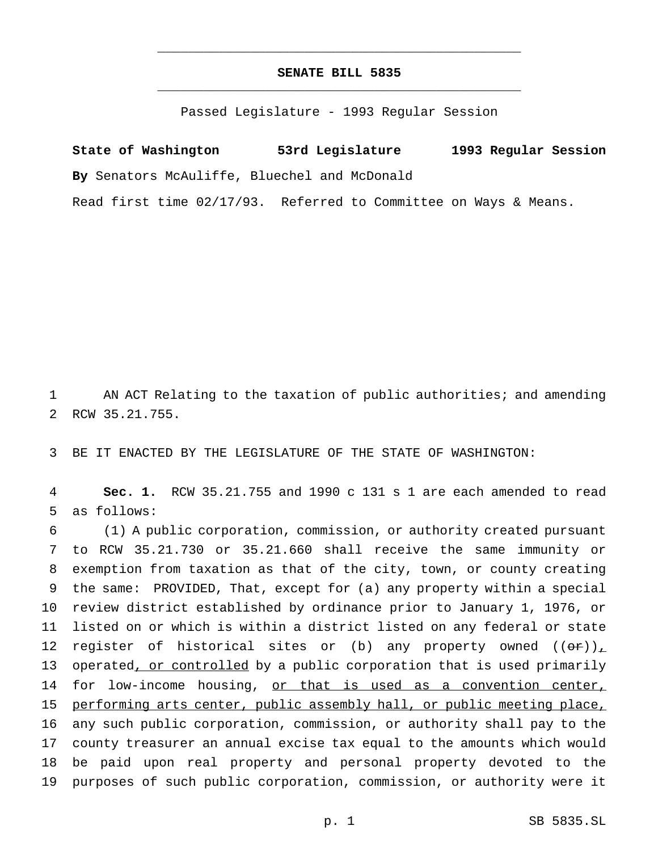## **SENATE BILL 5835** \_\_\_\_\_\_\_\_\_\_\_\_\_\_\_\_\_\_\_\_\_\_\_\_\_\_\_\_\_\_\_\_\_\_\_\_\_\_\_\_\_\_\_\_\_\_\_

\_\_\_\_\_\_\_\_\_\_\_\_\_\_\_\_\_\_\_\_\_\_\_\_\_\_\_\_\_\_\_\_\_\_\_\_\_\_\_\_\_\_\_\_\_\_\_

Passed Legislature - 1993 Regular Session

**State of Washington 53rd Legislature 1993 Regular Session By** Senators McAuliffe, Bluechel and McDonald

Read first time 02/17/93. Referred to Committee on Ways & Means.

1 AN ACT Relating to the taxation of public authorities; and amending 2 RCW 35.21.755.

3 BE IT ENACTED BY THE LEGISLATURE OF THE STATE OF WASHINGTON:

4 **Sec. 1.** RCW 35.21.755 and 1990 c 131 s 1 are each amended to read 5 as follows:

 (1) A public corporation, commission, or authority created pursuant to RCW 35.21.730 or 35.21.660 shall receive the same immunity or exemption from taxation as that of the city, town, or county creating the same: PROVIDED, That, except for (a) any property within a special review district established by ordinance prior to January 1, 1976, or listed on or which is within a district listed on any federal or state 12 register of historical sites or (b) any property owned  $((\sigma \cdot r))_{\perp}$ 13 operated, or controlled by a public corporation that is used primarily 14 for low-income housing, or that is used as a convention center, 15 performing arts center, public assembly hall, or public meeting place, any such public corporation, commission, or authority shall pay to the county treasurer an annual excise tax equal to the amounts which would be paid upon real property and personal property devoted to the purposes of such public corporation, commission, or authority were it